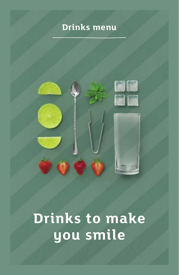# **Drinks menu**



# **Drinks to make you smile**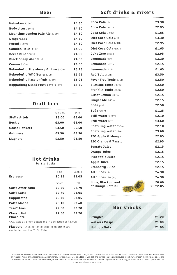| Heineken 330ml                        | £4.50 |
|---------------------------------------|-------|
| <b>Budweiser</b> 330ml                | £4.50 |
| Meantime London Pale Ale 330ml        | £4.50 |
| <b>Desperados</b>                     | £4.50 |
| Peroni 330ml                          | £4.50 |
| Camden Hells 330ml                    | £4.00 |
| Becks Blue 330ml                      | £4.00 |
| <b>Black Sheep Ale 330ml</b>          | £4.50 |
| Corona 330ml                          | £4.50 |
| Rekorderlig Strawberry & Lime 330ml   | £5.95 |
| Rekorderlig Wild Berry 330ml          | £5.95 |
| <b>Rekorderlig Passionfruit 330ml</b> | £5.95 |
| Kopparberg Mixed Fruit Zero 330ml     | £5.50 |
|                                       |       |

#### **Draft beer**

|                      | half pint | pint  |
|----------------------|-----------|-------|
| Stella Artois        | £3.00     | £5.00 |
| Beck's               | £3.00     | £5.00 |
| <b>Goose Honkers</b> | £3.50     | £5.50 |
| <b>Guinness</b>      | £3.50     | £5.50 |
| <b>Magners</b>       | £3.50     | £5.50 |
|                      |           |       |

# **Hot drinks**

|  | by Starbucks |
|--|--------------|
|--|--------------|

|                    |       |        | Cranderry Juice      | エム・エコ      |
|--------------------|-------|--------|----------------------|------------|
|                    | Solo  | Doppio | All Juices pint      | £4.30      |
| <b>Espresso</b>    | £0.85 | £2.05  | All Juices litre jug | £4.30      |
|                    | Short | Tall   | Lime, Blackcurrant   | £0.60      |
| Caffé Americano    | £2.50 | £2.70  | or Orange Cordial    | pint £2.85 |
| Caffé Latte        | £2.70 | £3.05  |                      |            |
| Cappuccino         | £2.70 | £3.05  |                      |            |
| Caffé Mocha        | £3.10 | £3.40  |                      |            |
| Tazo* Teas         | £2.50 | £2.70  | <b>Bar snacks</b>    |            |
| <b>Classic Hot</b> | £2.50 | £2.70  |                      |            |
| Chocolate          |       |        | <b>Pringles</b>      | £1.20      |

\*Available as a light option and in a selection of flavours.

**Flavours -** A selection of other iced drinks are available from the To Go Cafe.

#### **Soft drinks & mixers**

| <b>Coca Cola</b> pint                                   | £3.30                 |
|---------------------------------------------------------|-----------------------|
| Coca Cola hottle                                        | £2.95                 |
| Coca Cola ½ pint                                        | £1.65                 |
| Diet Coca Cola pint                                     | £3.30                 |
| Diet Coca Cola bottle                                   | £2.95                 |
| Diet Coca Cola ½ pint                                   | £1.65                 |
| <b>Coke Zero bottle</b>                                 | £2.95                 |
| Lemonade pint                                           | £3.30                 |
| <b>Lemonade</b> bottle                                  | £2.15                 |
| Lemonade ½ pint                                         | £1.65                 |
| Red Bull 250ml                                          | £3.50                 |
| Fever Tree Tonic 330ml                                  | £2.50                 |
| <b>Slimline Tonic 200ml</b>                             | £2.50                 |
| Franklin Tonic 200ml                                    | £2.50                 |
| Bitter Lemon 200ml                                      | £2.15                 |
| Ginger Ale 200ml                                        | £2.15                 |
| <b>Soda</b> pint                                        | £2.50                 |
| Soda ½ pint                                             | £1.25                 |
| Still Water 330ml                                       | £2.10                 |
| <b>Still Water litre</b>                                | £3.60                 |
| Sparkling Water 330ml                                   | £2.10                 |
| <b>Sparkling Water litre</b>                            | £3.60                 |
| J2O Apple & Mango                                       | £2.95                 |
| <b>J2O Orange &amp; Passion</b>                         | £2.95                 |
| <b>Tomato Juice</b>                                     | £2.15                 |
| <b>Orange Juice</b>                                     | £2.15                 |
| <b>Pineapple Juice</b>                                  | £2.15                 |
| <b>Apple Juice</b>                                      | £2.15                 |
| <b>Cranberry Juice</b>                                  | £2.15                 |
| All Juices pint                                         | £4.30                 |
| <b>All Juices</b> litre jug                             | £4.30                 |
| Lime, Blackcurrant<br>or Orange Cordial<br>$\partial/2$ | £0.60<br>pint $£2.85$ |

#### **Bar snacks**

| <b>Pringles</b>       | £1.20 |
|-----------------------|-------|
| <b>Walkers Crisps</b> | £1.00 |
| <b>Nobby's Nuts</b>   | £1.00 |

Unless stated, all wines on this list have an ABV content of between 9% and 15%. If any wine is not available a suitable a suitable is much the metator of the offered. 125ml measures are available<br>on request. Please drink area where allergens are present.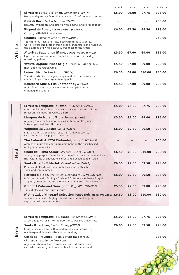|                                                                                                                                                                                                                                                    | 125ml | 175ml | 250ml  | per bottle |
|----------------------------------------------------------------------------------------------------------------------------------------------------------------------------------------------------------------------------------------------------|-------|-------|--------|------------|
| El Velero Verdejo Blanco, Valdepeñas (SPAIN)<br>Melon and green apple on the palate with floral notes on the finish.                                                                                                                               | £5.00 | £6.00 | £7.75  | £23.00     |
| <b>Gavi di Gavi</b> , Enrico Serafino (ITALY)<br>Beautiful minerality and acidity with a citrus and floral bouquet.                                                                                                                                |       |       |        | £35.00     |
| <b>Picpoul de Pinet, Réserve Mirou (FRANCE)</b><br>Citrussy, with delicious ripe fruit.                                                                                                                                                            | £6.00 | £7.50 | £9.50  | £28.00     |
| <b>Chablis, Bouchard Aîné &amp; Fils (FRANCE)</b><br>Typical light, fresh and fruity nose with mineral aromas,<br>white flowers and hints of fresh peach, dried fruits and hazelnut,<br>the palate is dry with a citrussy freshness to the finish. |       |       |        | £40.00     |
| Altoritas Sauvignon Blanc, Central Valley (CHILE)<br>Light, herbaceous aromas, coupled with lemon on the dry,<br>refreshing palate.                                                                                                                | £5.50 | £7.00 | £9.00  | £25.00     |
| Vinuva Organic Pinot Grigio, Terre Siciliane (ITALY)<br>Ripe, apple flavoured wine.                                                                                                                                                                | £5.50 | £7.00 | £9.00  | £25.00     |
| <b>Leiras, Albariño Rías Baixas (SPAIN)</b><br>The wine exhibits fresh green apple and citrus aromas with<br>a pinch of spice on a dry, minerally palate.                                                                                          | £6.50 | £8.00 | £10.00 | £30.00     |
| Bouchard Ainé & Fils Chardonnay (FRANCE)<br>White flower aromas, such as acacia, alongside notes<br>of honey and vanilla.                                                                                                                          | £5.50 | £7.00 | £9.00  | £25.00     |
|                                                                                                                                                                                                                                                    |       |       |        |            |
| El Velero Tempranillo Tinto, Valdepeñas (SPAIN)<br>Cherry-red Tempranillo that shows strawberry & fruits of the<br>forest on its smooth & velvety palate.                                                                                          | £5.00 | £6.00 | £7.75  | £23.00     |
| Marqués de Morano Rioja Joven, (SPAIN)<br>A young Rioja made using the classic Tempranillo grape.<br>Shows ripe, fresh fruit flavours.                                                                                                             | £5.50 | £7.00 | £9.00  | £25.00     |
| Valpolicella Classico, Bolla (ITALY)<br>Fragrant aromas of cherry, redcurrant and blackberry,<br>with a hint of black pepper and walnut.                                                                                                           | £6.00 | £7.50 | £9.50  | £28.00     |
| The Federalist 1776 Zinfandel, Lodi (CALIFORNIA)<br>Aromas of plum and cherry are dominant on the nose backed<br>up by cinnamon spice.                                                                                                             |       |       |        | £40.00     |
| Chalk Hill Luna Shiraz, McLaren Vale (AUSTRALIA)<br>A rich, deep purple coloured wine, the palate shows crunchy red-berry<br>fruit with hints of chocolate, coffee and cracked pepper spice.                                                       | £6.50 | £8.00 | £10.00 | £30.00     |
| Santa Rita 8KM Merlot, Central Valley (CHILE)<br>Plums and blackberries dominate this wine, with subtle<br>spicy and vanilla notes.                                                                                                                | £6.00 | £7.50 | £9.50  | £28.00     |
| Portillo Malbec, Uco Valley, Mendoza (ARGENTINA) (Ve)<br>Ruby-red wine displaying a fresh and fruity nose, enhanced by hints<br>of plum, black berries and a touch of vanilla, fresh fruit flavours.                                               | £6.00 | £7.50 | £9.50  | £28.00     |
| Granfort Cabernet Sauvignon, Pays d'Oc (FRANCE)<br>Typical blackcurrant fruit flavours.                                                                                                                                                            | £5.50 | £7.00 | £9.00  | £25.00     |
| Kleine Zalze Vineyard Selection Pinot Noir, (Western Cape) £6.50<br>An elegant wine displaying soft red fruits on the bouquet,<br>supported with savoury notes.                                                                                    |       | £8.00 | £10.00 | £30.00     |
|                                                                                                                                                                                                                                                    |       |       |        |            |
|                                                                                                                                                                                                                                                    |       |       |        |            |
| El Velero Tempranillo Rosado, Valdepeñas (SPAIN)<br>A soft and juicy rosé showing notes of strawberry and citrus.                                                                                                                                  | £5.00 | £6.00 | £7.75  | £23.00     |
| Santa Rita Rosé, Central Valley (CHILE)<br>Fruity and expressive with a predominance of strawberry,<br>raspberry and delicate citrus notes recalling.                                                                                              | £6.00 | £7.00 | £9.50  | £28.00     |
| Côtes de Provence Rosé, Vérité du Terroir,<br>Château La Gordonne (FRANCE)                                                                                                                                                                         |       |       |        | £35.00     |
| A generous bouquet with aromas of ripe red fruits, such                                                                                                                                                                                            |       |       |        |            |

as fresh strawberry, and notes of blackcurrant and violet.

**White**

**Red**

**Rosé**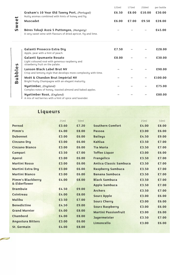|                      |                                                                                                               | 125ml | 175ml | 250ml  | per bottle |
|----------------------|---------------------------------------------------------------------------------------------------------------|-------|-------|--------|------------|
|                      | Graham's 10 Year Old Tawny Port, (Portugal)<br>Nutty aromas combined with hints of honey and fig.             | £6.50 | £8.00 | £10.00 | £30.00     |
| Swee <sup>®</sup>    | <b>Muscadet</b>                                                                                               | £6.00 | £7.00 | £9.50  | £28.00     |
|                      | Béres Tokaji Aszú 5 Puttonyos, (Hungary)<br>A very sweet wine with flavours of dried apricot, fig and lime.   |       |       |        | £45.00     |
|                      | Galanti Prosecco Extra Dru<br>Apple, pear with a hint of peach.                                               | £7.50 |       |        | £28.00     |
| <b>5</b>             | Galanti Spumante Rosato<br>Light coloured rosé with generous raspberry and<br>strawberry fruit on the palate. | £8.00 |       |        | £30.00     |
| $\mathbf{e}$         | <b>Lanson Black Label Brut NV</b><br>Crisp and lemony style that develops more complexity with time.          |       |       |        | £90.00     |
| uddi<br>$\mathbf{a}$ | Moët & Chandon Brut Impérial NV<br>Bright fruity Champagne with an elegant maturity.                          |       |       |        | £100.00    |
|                      | Nyetimber, (England)<br>Complex notes of honey, toasted almond and baked apples.                              |       |       |        | £75.00     |
|                      | Nyetimber Rosé, (England)<br>A mix of red berries with a hint of spice and lavender.                          |       |       |        | £80.00     |

**Liqueurs**

цý, e e contro

|                          | 25ml  | 50ml  |                               | 25ml  | 50ml  |
|--------------------------|-------|-------|-------------------------------|-------|-------|
| Pernod                   | £3.60 | £7.20 | <b>Southern Comfort</b>       | £4.00 | £8.00 |
| Pimm's                   | £4.00 | £8.00 | <b>Passoa</b>                 | £3.00 | £6.00 |
| <b>Dubonnet</b>          | £3.00 | £6.00 | <b>Baileus</b>                | £4.50 | £9.00 |
| <b>Cinzano Dru</b>       | £3.00 | £6.00 | Kahlua                        | £3.50 | £7.00 |
| <b>Cinzano Bianco</b>    | £3.00 | £6.00 | <b>Tia Maria</b>              | £3.50 | £7.00 |
| Campari                  | £3.50 | £7.00 | <b>Toffee Liquor</b>          | £3.00 | £6.00 |
| Aperol                   | £3.00 | £6.00 | <b>Frangelico</b>             | £3.50 | £7.00 |
| <b>Martini Rosso</b>     | £3.00 | £6.00 | <b>Antica Classic Sambuca</b> | £3.50 | £7.00 |
| <b>Martini Extra Dry</b> | £3.00 | £6.00 | <b>Raspberry Sambuca</b>      | £3.50 | £7.00 |
| <b>Martini Bianco</b>    | £3.00 | £6.00 | <b>Banana Sambuca</b>         | £3.50 | £7.00 |
| <b>Pimm's Blackberry</b> | £4.00 | £8.00 | <b>Black Sambuca</b>          | £3.50 | £7.00 |
| & Elderflower            |       |       | <b>Apple Sambuca</b>          | £3.50 | £7.00 |
| <b>Drambuie</b>          | £4.50 | £9.00 | <b>Archers</b>                | £3.50 | £7.00 |
| <b>Cointreau</b>         | £4.00 | £8.00 | <b>Sourz Apple</b>            | £3.00 | £6.00 |
| Malibu                   | £3.50 | £7.00 | <b>Sourz Cherru</b>           | £3.00 | £6.00 |
| <b>Benedictine</b>       | £4.50 | £9.00 | <b>Sourz Raspberry</b>        | £3.00 | £6.00 |
| <b>Grand Marnier</b>     | £4.00 | £8.00 | <b>Martini Passionfruit</b>   | £3.00 | £6.00 |
| <b>Chambord</b>          | £4.00 | £8.00 | <b>Jagermeister</b>           | £3.50 | £7.00 |
| <b>Angostura Bitters</b> | £3.00 | £6.00 | Limoncello                    | £3.00 | £6.00 |
| St. Germain              | £4.00 | £8.00 |                               |       |       |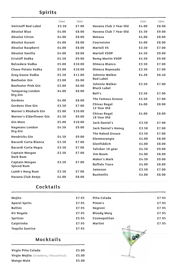## **Spirits**

|                                    | 25ml  | 50ml   |                                             | 25ml  | 50ml  |
|------------------------------------|-------|--------|---------------------------------------------|-------|-------|
| <b>Smirnoff Red Label</b>          | £3.50 | £7.00  | Havana Club 3 Year Old                      | £4.00 | £8.00 |
| <b>Absolut Blue</b>                | £4.00 | £8.00  | Havana Club 7 Year Old                      | £4.50 | £9.00 |
| <b>Absolut Citron</b>              | £4.00 | £8.00  | Metaxa                                      | £4.00 | £8.00 |
| <b>Absolut Kurant</b>              | £4.00 | £8.00  | Courvoisier                                 | £4.00 | £8.00 |
| Absolut Raspberri                  | £4.00 | £8.00  | <b>Martell VS</b>                           | £3.50 | £7.00 |
| Absolut Vanilla                    | £4.00 | £8.00  | <b>Martell VSOP</b>                         | £4.50 | £9.00 |
| <b>Eristoff Vodka</b>              | £4.50 | £9.00  | <b>Remy Martin VSOP</b>                     | £4.50 | £9.00 |
| <b>Belvedere Vodka</b>             | £5.00 | £10.00 | Olmeca Blanco                               | £3.50 | £7.00 |
| <b>Chase Potato Vodka</b>          | £5.00 | £10.00 | <b>Olmeca Reposado</b>                      | £3.50 | £7.00 |
| Grey Goose Vodka                   | £5.50 | £11.00 | <b>Johnnie Walker</b>                       | £4.20 | £8.40 |
| <b>Beefeater Gin</b>               | £3.00 | £6.00  | <b>Red Label</b>                            |       |       |
| <b>Beefeater Pink Gin</b>          | £3.00 | £6.00  | <b>Johnnie Walker</b><br><b>Black Label</b> | £3.50 | £7.00 |
| <b>Tanqueray London</b><br>Dry Gin | £4.00 | £8.00  | Bell's                                      | £3.50 | £7.00 |
| Gordons                            | £4.00 | £8.00  | <b>The Famous Grouse</b>                    | £3.50 | £7.00 |
| <b>Gordons Sloe Gin</b>            | £3.50 | £7.00  | <b>Chivas Regal</b><br>12 Year Old          | £4.00 | £8.00 |
| Warner's Rhubarb Gin               | £5.00 | £10.00 | <b>Chivas Regal</b>                         | £4.00 | £8.00 |
| Warner's Elderflower Gin           | £4.50 | £9.00  | 18 Year Old                                 |       |       |
| <b>Gin Mare</b>                    | £5.00 | £10.00 | <b>Jack Daniel's</b>                        | £3.50 | £7.00 |
| <b>Haymans London</b>              | £4.50 | £9.00  | Jack Daniel's Honey                         | £3.50 | £7.00 |
| Dru Gin                            |       |        | <b>The Naked Grouse</b>                     | £3.50 | £7.00 |
| <b>Hendricks Gin</b>               | £4.50 | £9.00  | Glenmorangie                                | £4.00 | £8.00 |
| <b>Bacardi Carta Blanca</b>        | £3.50 | £7.00  | Glenfiddich                                 | £4.00 | £8.00 |
| <b>Bacardi Carta Negra</b>         | £3.50 | £7.00  | Talisker 10 year                            | £4.50 | £9.00 |
| <b>Captain Morgan</b><br>Dark Rum  | £3.50 | £7.00  | <b>Jim Beam</b>                             | £4.00 | £8.00 |
| <b>Captain Morgan</b>              | £3.50 | £7.00  | <b>Maker's Mark</b>                         | £4.50 | £9.00 |
| <b>Spiced Rum</b>                  |       |        | <b>Buffalo Trace</b>                        | £4.00 | £8.00 |
| Lamb's Navy Rum                    | £3.50 | £7.00  | <b>Jameson</b>                              | £3.50 | £7.00 |
| <b>Havana Club Anejo</b>           | £4.00 | £8.00  | <b>Bushmills</b>                            | £4.00 | £8.00 |

### **Cocktails**

| <b>Mocktails</b>       |       |                    |       |
|------------------------|-------|--------------------|-------|
| <b>Tequila Sunrise</b> | £7.95 |                    |       |
| Caipirinha             | £7.95 | Martini            | £7.95 |
| Spritzer               | £5.95 | Cosmopolitan       | £7.95 |
| <b>Kir Royale</b>      | £7.95 | <b>Bloody Mary</b> | £7.95 |
| <b>Bellini</b>         | £7.95 | Negroni            | £7.95 |
| <b>Aperol Spritz</b>   | £7.95 | Pimm's             | £7.95 |
| Mojito                 | £7.95 | Piña Colada        | £7.95 |
|                        |       |                    |       |

| Virgin Piña Colada                        |       |
|-------------------------------------------|-------|
| Virgin Mojito (Strawberry / Passionfruit) | £5.00 |
| <b>Mango Mule</b>                         | £5.00 |